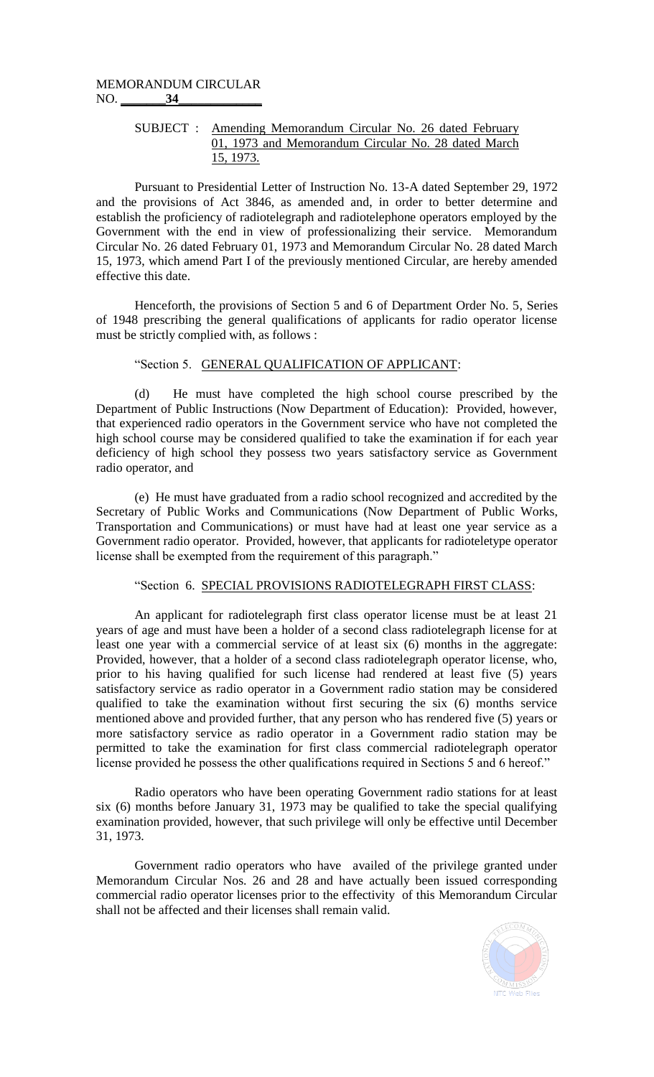## MEMORANDUM CIRCULAR NO. **\_\_\_\_\_\_\_34\_\_\_\_\_\_\_\_\_\_\_\_\_**

## SUBJECT : Amending Memorandum Circular No. 26 dated February 01, 1973 and Memorandum Circular No. 28 dated March 15, 1973.

Pursuant to Presidential Letter of Instruction No. 13-A dated September 29, 1972 and the provisions of Act 3846, as amended and, in order to better determine and establish the proficiency of radiotelegraph and radiotelephone operators employed by the Government with the end in view of professionalizing their service. Memorandum Circular No. 26 dated February 01, 1973 and Memorandum Circular No. 28 dated March 15, 1973, which amend Part I of the previously mentioned Circular, are hereby amended effective this date.

Henceforth, the provisions of Section 5 and 6 of Department Order No. 5, Series of 1948 prescribing the general qualifications of applicants for radio operator license must be strictly complied with, as follows :

## "Section 5. GENERAL QUALIFICATION OF APPLICANT:

(d) He must have completed the high school course prescribed by the Department of Public Instructions (Now Department of Education): Provided, however, that experienced radio operators in the Government service who have not completed the high school course may be considered qualified to take the examination if for each year deficiency of high school they possess two years satisfactory service as Government radio operator, and

(e) He must have graduated from a radio school recognized and accredited by the Secretary of Public Works and Communications (Now Department of Public Works, Transportation and Communications) or must have had at least one year service as a Government radio operator. Provided, however, that applicants for radioteletype operator license shall be exempted from the requirement of this paragraph."

## "Section 6. SPECIAL PROVISIONS RADIOTELEGRAPH FIRST CLASS:

An applicant for radiotelegraph first class operator license must be at least 21 years of age and must have been a holder of a second class radiotelegraph license for at least one year with a commercial service of at least six (6) months in the aggregate: Provided, however, that a holder of a second class radiotelegraph operator license, who, prior to his having qualified for such license had rendered at least five (5) years satisfactory service as radio operator in a Government radio station may be considered qualified to take the examination without first securing the six (6) months service mentioned above and provided further, that any person who has rendered five (5) years or more satisfactory service as radio operator in a Government radio station may be permitted to take the examination for first class commercial radiotelegraph operator license provided he possess the other qualifications required in Sections 5 and 6 hereof."

Radio operators who have been operating Government radio stations for at least six (6) months before January 31, 1973 may be qualified to take the special qualifying examination provided, however, that such privilege will only be effective until December 31, 1973.

Government radio operators who have availed of the privilege granted under Memorandum Circular Nos. 26 and 28 and have actually been issued corresponding commercial radio operator licenses prior to the effectivity of this Memorandum Circular shall not be affected and their licenses shall remain valid.